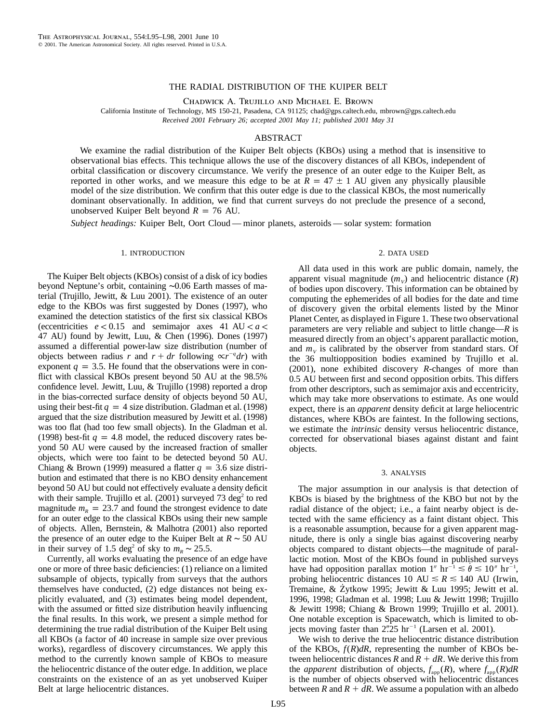## THE RADIAL DISTRIBUTION OF THE KUIPER BELT

Chadwick A. Trujillo and Michael E. Brown

California Institute of Technology, MS 150-21, Pasadena, CA 91125; chad@gps.caltech.edu, mbrown@gps.caltech.edu *Received 2001 February 26; accepted 2001 May 11; published 2001 May 31*

# ABSTRACT

We examine the radial distribution of the Kuiper Belt objects (KBOs) using a method that is insensitive to observational bias effects. This technique allows the use of the discovery distances of all KBOs, independent of orbital classification or discovery circumstance. We verify the presence of an outer edge to the Kuiper Belt, as reported in other works, and we measure this edge to be at  $\overline{R} = 47 \pm 1$  AU given any physically plausible model of the size distribution. We confirm that this outer edge is due to the classical KBOs, the most numerically dominant observationally. In addition, we find that current surveys do not preclude the presence of a second, unobserved Kuiper Belt beyond  $R = 76$  AU.

*Subject headings:* Kuiper Belt, Oort Cloud — minor planets, asteroids — solar system: formation

#### 1. INTRODUCTION

The Kuiper Belt objects (KBOs) consist of a disk of icy bodies beyond Neptune's orbit, containing ∼0.06 Earth masses of material (Trujillo, Jewitt, & Luu 2001). The existence of an outer edge to the KBOs was first suggested by Dones (1997), who examined the detection statistics of the first six classical KBOs (eccentricities  $e < 0.15$  and semimajor axes 41 AU  $< a <$ 47 AU) found by Jewitt, Luu, & Chen (1996). Dones (1997) assumed a differential power-law size distribution (number of objects between radius *r* and  $r + dr$  following ∝  $r^{-q} dr$ ) with exponent  $q = 3.5$ . He found that the observations were in conflict with classical KBOs present beyond 50 AU at the 98.5% confidence level. Jewitt, Luu, & Trujillo (1998) reported a drop in the bias-corrected surface density of objects beyond 50 AU, using their best-fit  $q = 4$  size distribution. Gladman et al. (1998) argued that the size distribution measured by Jewitt et al. (1998) was too flat (had too few small objects). In the Gladman et al. (1998) best-fit  $q = 4.8$  model, the reduced discovery rates beyond 50 AU were caused by the increased fraction of smaller objects, which were too faint to be detected beyond 50 AU. Chiang & Brown (1999) measured a flatter  $q = 3.6$  size distribution and estimated that there is no KBO density enhancement beyond 50 AU but could not effectively evaluate a density deficit with their sample. Trujillo et al.  $(2001)$  surveyed 73 deg<sup>2</sup> to red magnitude  $m_R = 23.7$  and found the strongest evidence to date for an outer edge to the classical KBOs using their new sample of objects. Allen, Bernstein, & Malhotra (2001) also reported the presence of an outer edge to the Kuiper Belt at  $R \sim 50$  AU in their survey of 1.5 deg<sup>2</sup> of sky to  $m_R \sim 25.5$ .

Currently, all works evaluating the presence of an edge have one or more of three basic deficiencies: (1) reliance on a limited subsample of objects, typically from surveys that the authors themselves have conducted, (2) edge distances not being explicitly evaluated, and (3) estimates being model dependent, with the assumed or fitted size distribution heavily influencing the final results. In this work, we present a simple method for determining the true radial distribution of the Kuiper Belt using all KBOs (a factor of 40 increase in sample size over previous works), regardless of discovery circumstances. We apply this method to the currently known sample of KBOs to measure the heliocentric distance of the outer edge. In addition, we place constraints on the existence of an as yet unobserved Kuiper Belt at large heliocentric distances.

### 2. DATA USED

All data used in this work are public domain, namely, the apparent visual magnitude  $(m_v)$  and heliocentric distance  $(R)$ of bodies upon discovery. This information can be obtained by computing the ephemerides of all bodies for the date and time of discovery given the orbital elements listed by the Minor Planet Center, as displayed in Figure 1. These two observational parameters are very reliable and subject to little change—*R* is measured directly from an object's apparent parallactic motion, and  $m<sub>V</sub>$  is calibrated by the observer from standard stars. Of the 36 multiopposition bodies examined by Trujillo et al. (2001), none exhibited discovery *R*-changes of more than 0.5 AU between first and second opposition orbits. This differs from other descriptors, such as semimajor axis and eccentricity, which may take more observations to estimate. As one would expect, there is an *apparent* density deficit at large heliocentric distances, where KBOs are faintest. In the following sections, we estimate the *intrinsic* density versus heliocentric distance, corrected for observational biases against distant and faint objects.

#### 3. ANALYSIS

The major assumption in our analysis is that detection of KBOs is biased by the brightness of the KBO but not by the radial distance of the object; i.e., a faint nearby object is detected with the same efficiency as a faint distant object. This is a reasonable assumption, because for a given apparent magnitude, there is only a single bias against discovering nearby objects compared to distant objects—the magnitude of parallactic motion. Most of the KBOs found in published surveys have had opposition parallax motion  $1''$  hr<sup>-1</sup>  $\le \theta \le 10''$  hr<sup>-1</sup>, probing heliocentric distances 10 AU  $\le R \le 140$  AU (Irwin, Tremaine,  $& Zytkow 1995$ ; Jewitt  $& Luu 1995$ ; Jewitt et al. 1996, 1998; Gladman et al. 1998; Luu & Jewitt 1998; Trujillo & Jewitt 1998; Chiang & Brown 1999; Trujillo et al. 2001). One notable exception is Spacewatch, which is limited to objects moving faster than  $2\rlap.{''}25$  hr<sup>-1</sup> (Larsen et al. 2001).

We wish to derive the true heliocentric distance distribution of the KBOs,  $f(R)dR$ , representing the number of KBOs between heliocentric distances  $R$  and  $R + dR$ . We derive this from the *apparent* distribution of objects,  $f_{app}(R)$ , where  $f_{app}(R)dR$ is the number of objects observed with heliocentric distances between *R* and  $R + dR$ . We assume a population with an albedo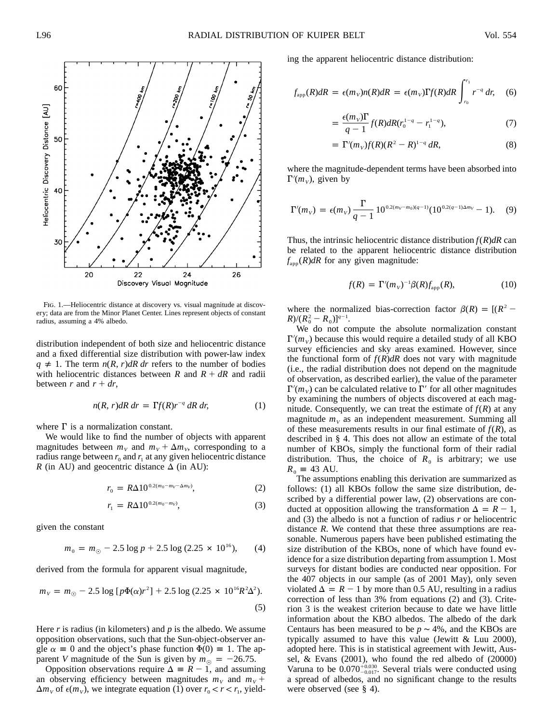

Fig. 1.—Heliocentric distance at discovery vs. visual magnitude at discovery; data are from the Minor Planet Center. Lines represent objects of constant radius, assuming a 4% albedo.

distribution independent of both size and heliocentric distance and a fixed differential size distribution with power-law index  $q \neq 1$ . The term  $n(R, r)$ *dR dr* refers to the number of bodies with heliocentric distances between  $R$  and  $R + dR$  and radii between  $r$  and  $r + dr$ ,

$$
n(R, r)dR dr = \Gamma f(R)r^{-q} dR dr,
$$
 (1)

where  $\Gamma$  is a normalization constant.

We would like to find the number of objects with apparent magnitudes between  $m_V$  and  $m_V + \Delta m_V$ , corresponding to a radius range between  $r_0$  and  $r_1$  at any given heliocentric distance *R* (in AU) and geocentric distance  $\Delta$  (in AU):

$$
r_0 = R\Delta 10^{0.2(m_0 - m_V - \Delta m_V)},\tag{2}
$$

$$
r_1 = R\Delta 10^{0.2(m_0 - m_V)},\tag{3}
$$

given the constant

$$
m_0 = m_{\odot} - 2.5 \log p + 2.5 \log (2.25 \times 10^{16}), \qquad (4)
$$

derived from the formula for apparent visual magnitude,

$$
m_V = m_{\odot} - 2.5 \log \left[ p\Phi(\alpha)r^2 \right] + 2.5 \log \left( 2.25 \times 10^{16} R^2 \Delta^2 \right).
$$
\n(5)

Here *r* is radius (in kilometers) and *p* is the albedo. We assume opposition observations, such that the Sun-object-observer angle  $\alpha \equiv 0$  and the object's phase function  $\Phi(0) \equiv 1$ . The apparent *V* magnitude of the Sun is given by  $m_{\odot} = -26.75$ .

Opposition observations require  $\Delta \equiv R - 1$ , and assuming an observing efficiency between magnitudes  $m_V$  and  $m_V$  +  $\Delta m_V$  of  $\epsilon(m_V)$ , we integrate equation (1) over  $r_0 < r < r_1$ , yielding the apparent heliocentric distance distribution:

$$
f_{\rm app}(R)dR = \epsilon(m_V)n(R)dR = \epsilon(m_V)\Gamma f(R)dR \int_{r_0}^{r_1} r^{-q} dr, \quad (6)
$$

$$
= \frac{\epsilon(m_v)\Gamma}{q-1} f(R)dR(r_0^{1-q} - r_1^{1-q}), \tag{7}
$$

$$
=\Gamma'(m_V)f(R)(R^2-R)^{1-q} dR,
$$
\n(8)

where the magnitude-dependent terms have been absorbed into  $\Gamma'(m_V)$ , given by

$$
\Gamma'(m_V) = \epsilon(m_V) \frac{\Gamma}{q-1} 10^{0.2(m_V - m_0)(q-1)} (10^{0.2(q-1)\Delta m_V} - 1). \quad (9)
$$

Thus, the intrinsic heliocentric distance distribution  $f(R)$ *dR* can be related to the apparent heliocentric distance distribution  $f<sub>app</sub>(R)dR$  for any given magnitude:

$$
f(R) = \Gamma'(m_V)^{-1} \beta(R) f_{\text{app}}(R), \qquad (10)
$$

where the normalized bias-correction factor  $\beta(R) = [(R^2 (R)/((R_0^2 - R_0)]^{q-1}.$ 

We do not compute the absolute normalization constant  $\Gamma'(m_v)$  because this would require a detailed study of all KBO survey efficiencies and sky areas examined. However, since the functional form of  $f(R)dR$  does not vary with magnitude (i.e., the radial distribution does not depend on the magnitude of observation, as described earlier), the value of the parameter  $\Gamma'(m_v)$  can be calculated relative to  $\Gamma'$  for all other magnitudes by examining the numbers of objects discovered at each magnitude. Consequently, we can treat the estimate of  $f(R)$  at any magnitude  $m<sub>v</sub>$  as an independent measurement. Summing all of these measurements results in our final estimate of  $f(R)$ , as described in § 4. This does not allow an estimate of the total number of KBOs, simply the functional form of their radial distribution. Thus, the choice of  $R_0$  is arbitrary; we use  $R_0 = 43$  AU.

The assumptions enabling this derivation are summarized as follows: (1) all KBOs follow the same size distribution, described by a differential power law, (2) observations are conducted at opposition allowing the transformation  $\Delta = R - 1$ , and (3) the albedo is not a function of radius *r* or heliocentric distance *R*. We contend that these three assumptions are reasonable. Numerous papers have been published estimating the size distribution of the KBOs, none of which have found evidence for a size distribution departing from assumption 1. Most surveys for distant bodies are conducted near opposition. For the 407 objects in our sample (as of 2001 May), only seven violated  $\Delta = R - 1$  by more than 0.5 AU, resulting in a radius correction of less than 3% from equations (2) and (3). Criterion 3 is the weakest criterion because to date we have little information about the KBO albedos. The albedo of the dark Centaurs has been measured to be  $p \sim 4\%$ , and the KBOs are typically assumed to have this value (Jewitt  $& Luu 2000$ ), adopted here. This is in statistical agreement with Jewitt, Aussel, & Evans (2001), who found the red albedo of (20000) Varuna to be  $0.070^{+0.030}_{-0.017}$ . Several trials were conducted using a spread of albedos, and no significant change to the results were observed (see § 4).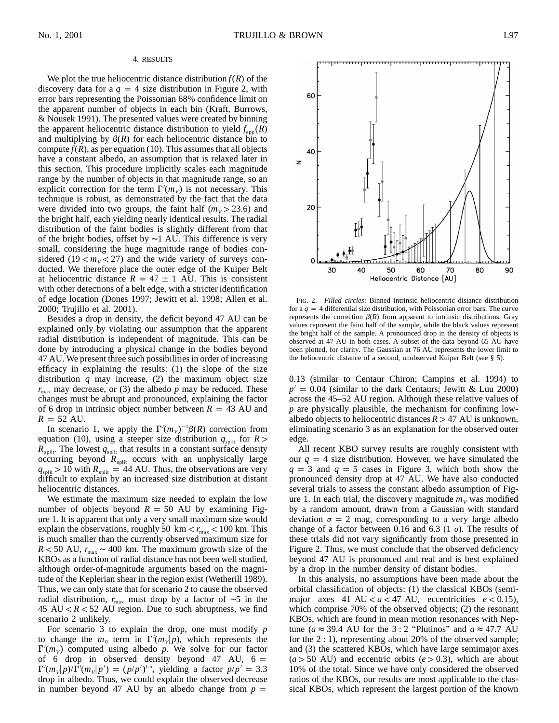### 4. RESULTS

We plot the true heliocentric distance distribution  $f(R)$  of the discovery data for a  $q = 4$  size distribution in Figure 2, with error bars representing the Poissonian 68% confidence limit on the apparent number of objects in each bin (Kraft, Burrows, & Nousek 1991). The presented values were created by binning the apparent heliocentric distance distribution to yield  $f_{\text{app}}(R)$ and multiplying by  $\beta(R)$  for each heliocentric distance bin to compute  $f(R)$ , as per equation (10). This assumes that all objects have a constant albedo, an assumption that is relaxed later in this section. This procedure implicitly scales each magnitude range by the number of objects in that magnitude range, so an explicit correction for the term  $\Gamma'(m_v)$  is not necessary. This technique is robust, as demonstrated by the fact that the data were divided into two groups, the faint half  $(m_V > 23.6)$  and the bright half, each yielding nearly identical results. The radial distribution of the faint bodies is slightly different from that of the bright bodies, offset by ∼1 AU. This difference is very small, considering the huge magnitude range of bodies considered  $(19 < m<sub>v</sub> < 27)$  and the wide variety of surveys conducted. We therefore place the outer edge of the Kuiper Belt at heliocentric distance  $R = 47 \pm 1$  AU. This is consistent with other detections of a belt edge, with a stricter identification of edge location (Dones 1997; Jewitt et al. 1998; Allen et al. 2000; Trujillo et al. 2001).

Besides a drop in density, the deficit beyond 47 AU can be explained only by violating our assumption that the apparent radial distribution is independent of magnitude. This can be done by introducing a physical change in the bodies beyond 47 AU. We present three such possibilities in order of increasing efficacy in explaining the results: (1) the slope of the size distribution *q* may increase, (2) the maximum object size  $r_{\text{max}}$  may decrease, or (3) the albedo  $p$  may be reduced. These changes must be abrupt and pronounced, explaining the factor of 6 drop in intrinsic object number between  $R = 43$  AU and  $R = 52$  AU.

In scenario 1, we apply the  $\Gamma'(m_V)^{-1}\beta(R)$  correction from equation (10), using a steeper size distribution  $q_{split}$  for  $R >$  $R_{\text{split}}$ . The lowest  $q_{\text{split}}$  that results in a constant surface density occurring beyond  $R_{split}$  occurs with an unphysically large  $q_{split}$  > 10 with  $R_{split}$  = 44 AU. Thus, the observations are very difficult to explain by an increased size distribution at distant heliocentric distances.

We estimate the maximum size needed to explain the low number of objects beyond  $R = 50$  AU by examining Figure 1. It is apparent that only a very small maximum size would explain the observations, roughly 50 km  $\lt r_{\text{max}} \lt 100$  km. This is much smaller than the currently observed maximum size for  $R < 50$  AU,  $r_{\text{max}} \sim 400$  km. The maximum growth size of the KBOs as a function of radial distance has not been well studied, although order-of-magnitude arguments based on the magnitude of the Keplerian shear in the region exist (Wetherill 1989). Thus, we can only state that for scenario 2 to cause the observed radial distribution,  $r_{\text{max}}$  must drop by a factor of ~5 in the 45 AU  $< R < 52$  AU region. Due to such abruptness, we find scenario 2 unlikely.

For scenario 3 to explain the drop, one must modify *p* to change the  $m_0$  term in  $\Gamma'(m_v|p)$ , which represents the  $\Gamma'(m_V)$  computed using albedo *p*. We solve for our factor of 6 drop in observed density beyond 47 AU,  $6 =$  $\Gamma'(m_v|p)/\Gamma'(m_v|p') = (p/p')^{1.5}$ , yielding a factor  $p/p' = 3.3$ drop in albedo. Thus, we could explain the observed decrease in number beyond 47 AU by an albedo change from  $p =$ 



Fig. 2.—*Filled circles*: Binned intrinsic heliocentric distance distribution for a  $q = 4$  differential size distribution, with Poissonian error bars. The curve represents the correction  $\beta(R)$  from apparent to intrinsic distributions. Gray values represent the faint half of the sample, while the black values represent the bright half of the sample. A pronounced drop in the density of objects is observed at 47 AU in both cases. A subset of the data beyond 65 AU have been plotted, for clarity. The Gaussian at 76 AU represents the lower limit to the heliocentric distance of a second, unobserved Kuiper Belt (see § 5).

0.13 (similar to Centaur Chiron; Campins et al. 1994) to  $p' = 0.04$  (similar to the dark Centaurs; Jewitt & Luu 2000) across the 45–52 AU region. Although these relative values of *p* are physically plausible, the mechanism for confining lowalbedo objects to heliocentric distances  $R > 47$  AU is unknown, eliminating scenario 3 as an explanation for the observed outer edge.

All recent KBO survey results are roughly consistent with our  $q = 4$  size distribution. However, we have simulated the  $q = 3$  and  $q = 5$  cases in Figure 3, which both show the pronounced density drop at 47 AU. We have also conducted several trials to assess the constant albedo assumption of Figure 1. In each trial, the discovery magnitude  $m<sub>V</sub>$  was modified by a random amount, drawn from a Gaussian with standard deviation  $\sigma = 2$  mag, corresponding to a very large albedo change of a factor between 0.16 and 6.3 (1  $\sigma$ ). The results of these trials did not vary significantly from those presented in Figure 2. Thus, we must conclude that the observed deficiency beyond 47 AU is pronounced and real and is best explained by a drop in the number density of distant bodies.

In this analysis, no assumptions have been made about the orbital classification of objects: (1) the classical KBOs (semimajor axes 41 AU  $< a < 47$  AU, eccentricities  $e < 0.15$ ), which comprise 70% of the observed objects; (2) the resonant KBOs, which are found in mean motion resonances with Neptune ( $a \approx 39.4$  AU for the 3 : 2 "Plutinos" and  $a \approx 47.7$  AU for the 2 : 1), representing about 20% of the observed sample; and (3) the scattered KBOs, which have large semimajor axes  $(a > 50$  AU) and eccentric orbits  $(e > 0.3)$ , which are about 10% of the total. Since we have only considered the observed ratios of the KBOs, our results are most applicable to the classical KBOs, which represent the largest portion of the known